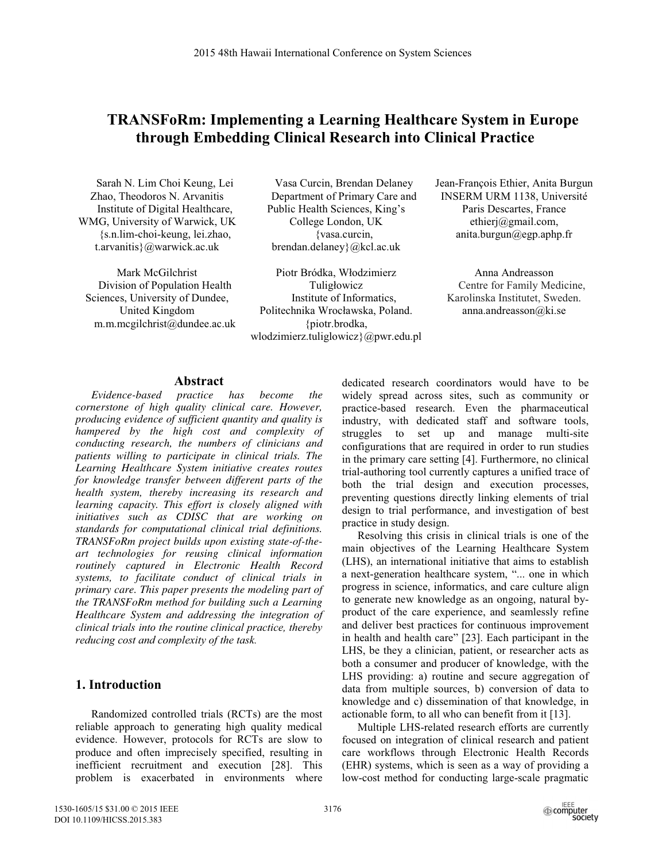# **TRANSFoRm: Implementing a Learning Healthcare System in Europe through Embedding Clinical Research into Clinical Practice**

Sarah N. Lim Choi Keung, Lei Zhao, Theodoros N. Arvanitis Institute of Digital Healthcare, WMG, University of Warwick, UK {s.n.lim-choi-keung, lei.zhao, t.arvanitis}@warwick.ac.uk

Mark McGilchrist Division of Population Health Sciences, University of Dundee, United Kingdom m.m.mcgilchrist@dundee.ac.uk

Vasa Curcin, Brendan Delaney Department of Primary Care and Public Health Sciences, King's College London, UK {vasa.curcin, brendan.delaney}@kcl.ac.uk

Piotr Bródka, Włodzimierz Tuligłowicz Institute of Informatics, Politechnika Wrocławska, Poland. {piotr.brodka, wlodzimierz.tuliglowicz}@pwr.edu.pl Jean-François Ethier, Anita Burgun INSERM URM 1138, Université Paris Descartes, France ethierj@gmail.com, anita.burgun@egp.aphp.fr

Anna Andreasson Centre for Family Medicine, Karolinska Institutet, Sweden. anna.andreasson@ki.se

# **Abstract**

*Evidence-based practice has become the cornerstone of high quality clinical care. However, producing evidence of sufficient quantity and quality is hampered by the high cost and complexity of conducting research, the numbers of clinicians and patients willing to participate in clinical trials. The Learning Healthcare System initiative creates routes for knowledge transfer between different parts of the health system, thereby increasing its research and learning capacity. This effort is closely aligned with initiatives such as CDISC that are working on standards for computational clinical trial definitions. TRANSFoRm project builds upon existing state-of-theart technologies for reusing clinical information routinely captured in Electronic Health Record systems, to facilitate conduct of clinical trials in primary care. This paper presents the modeling part of the TRANSFoRm method for building such a Learning Healthcare System and addressing the integration of clinical trials into the routine clinical practice, thereby reducing cost and complexity of the task.* 

# **1. Introduction**

Randomized controlled trials (RCTs) are the most reliable approach to generating high quality medical evidence. However, protocols for RCTs are slow to produce and often imprecisely specified, resulting in inefficient recruitment and execution [28]. This problem is exacerbated in environments where dedicated research coordinators would have to be widely spread across sites, such as community or practice-based research. Even the pharmaceutical industry, with dedicated staff and software tools, struggles to set up and manage multi-site configurations that are required in order to run studies in the primary care setting [4]. Furthermore, no clinical trial-authoring tool currently captures a unified trace of both the trial design and execution processes, preventing questions directly linking elements of trial design to trial performance, and investigation of best practice in study design.

Resolving this crisis in clinical trials is one of the main objectives of the Learning Healthcare System (LHS), an international initiative that aims to establish a next-generation healthcare system, "... one in which progress in science, informatics, and care culture align to generate new knowledge as an ongoing, natural byproduct of the care experience, and seamlessly refine and deliver best practices for continuous improvement in health and health care" [23]. Each participant in the LHS, be they a clinician, patient, or researcher acts as both a consumer and producer of knowledge, with the LHS providing: a) routine and secure aggregation of data from multiple sources, b) conversion of data to knowledge and c) dissemination of that knowledge, in actionable form, to all who can benefit from it [13].

Multiple LHS-related research efforts are currently focused on integration of clinical research and patient care workflows through Electronic Health Records (EHR) systems, which is seen as a way of providing a low-cost method for conducting large-scale pragmatic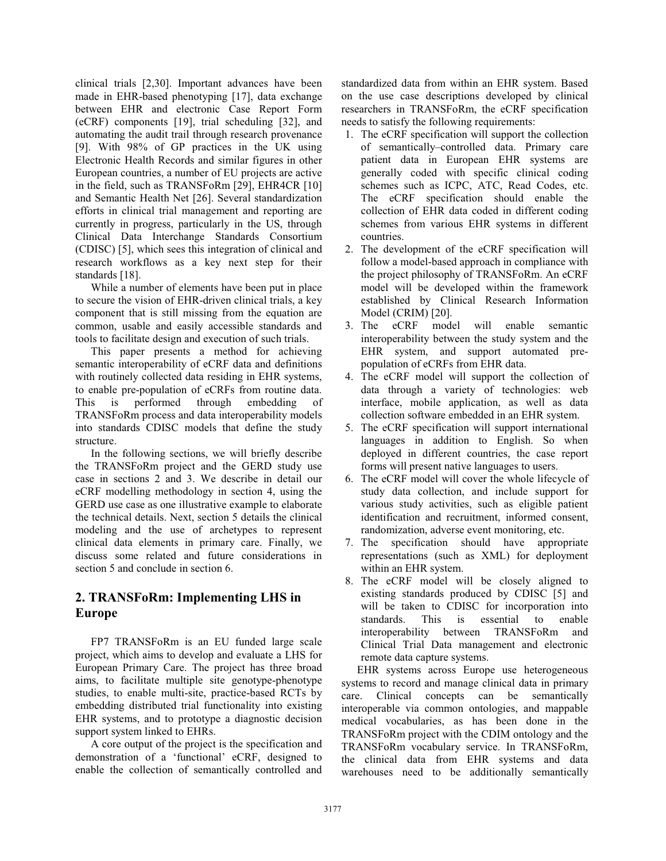clinical trials [2,30]. Important advances have been made in EHR-based phenotyping [17], data exchange between EHR and electronic Case Report Form (eCRF) components [19], trial scheduling [32], and automating the audit trail through research provenance [9]. With 98% of GP practices in the UK using Electronic Health Records and similar figures in other European countries, a number of EU projects are active in the field, such as TRANSFoRm [29], EHR4CR [10] and Semantic Health Net [26]. Several standardization efforts in clinical trial management and reporting are currently in progress, particularly in the US, through Clinical Data Interchange Standards Consortium (CDISC) [5], which sees this integration of clinical and research workflows as a key next step for their standards [18].

While a number of elements have been put in place to secure the vision of EHR-driven clinical trials, a key component that is still missing from the equation are common, usable and easily accessible standards and tools to facilitate design and execution of such trials.

This paper presents a method for achieving semantic interoperability of eCRF data and definitions with routinely collected data residing in EHR systems, to enable pre-population of eCRFs from routine data. This is performed through embedding of TRANSFoRm process and data interoperability models into standards CDISC models that define the study structure.

In the following sections, we will briefly describe the TRANSFoRm project and the GERD study use case in sections 2 and 3. We describe in detail our eCRF modelling methodology in section 4, using the GERD use case as one illustrative example to elaborate the technical details. Next, section 5 details the clinical modeling and the use of archetypes to represent clinical data elements in primary care. Finally, we discuss some related and future considerations in section 5 and conclude in section 6.

# **2. TRANSFoRm: Implementing LHS in Europe**

FP7 TRANSFoRm is an EU funded large scale project, which aims to develop and evaluate a LHS for European Primary Care. The project has three broad aims, to facilitate multiple site genotype-phenotype studies, to enable multi-site, practice-based RCTs by embedding distributed trial functionality into existing EHR systems, and to prototype a diagnostic decision support system linked to EHRs.

A core output of the project is the specification and demonstration of a 'functional' eCRF, designed to enable the collection of semantically controlled and

standardized data from within an EHR system. Based on the use case descriptions developed by clinical researchers in TRANSFoRm, the eCRF specification needs to satisfy the following requirements:

- 1. The eCRF specification will support the collection of semantically–controlled data. Primary care patient data in European EHR systems are generally coded with specific clinical coding schemes such as ICPC, ATC, Read Codes, etc. The eCRF specification should enable the collection of EHR data coded in different coding schemes from various EHR systems in different countries.
- 2. The development of the eCRF specification will follow a model-based approach in compliance with the project philosophy of TRANSFoRm. An eCRF model will be developed within the framework established by Clinical Research Information Model (CRIM) [20].
- 3. The eCRF model will enable semantic interoperability between the study system and the EHR system, and support automated prepopulation of eCRFs from EHR data.
- 4. The eCRF model will support the collection of data through a variety of technologies: web interface, mobile application, as well as data collection software embedded in an EHR system.
- 5. The eCRF specification will support international languages in addition to English. So when deployed in different countries, the case report forms will present native languages to users.
- 6. The eCRF model will cover the whole lifecycle of study data collection, and include support for various study activities, such as eligible patient identification and recruitment, informed consent, randomization, adverse event monitoring, etc.
- 7. The specification should have appropriate representations (such as XML) for deployment within an EHR system.
- 8. The eCRF model will be closely aligned to existing standards produced by CDISC [5] and will be taken to CDISC for incorporation into standards. This is essential to enable interoperability between TRANSFoRm and Clinical Trial Data management and electronic remote data capture systems.

EHR systems across Europe use heterogeneous systems to record and manage clinical data in primary care. Clinical concepts can be semantically interoperable via common ontologies, and mappable medical vocabularies, as has been done in the TRANSFoRm project with the CDIM ontology and the TRANSFoRm vocabulary service. In TRANSFoRm, the clinical data from EHR systems and data warehouses need to be additionally semantically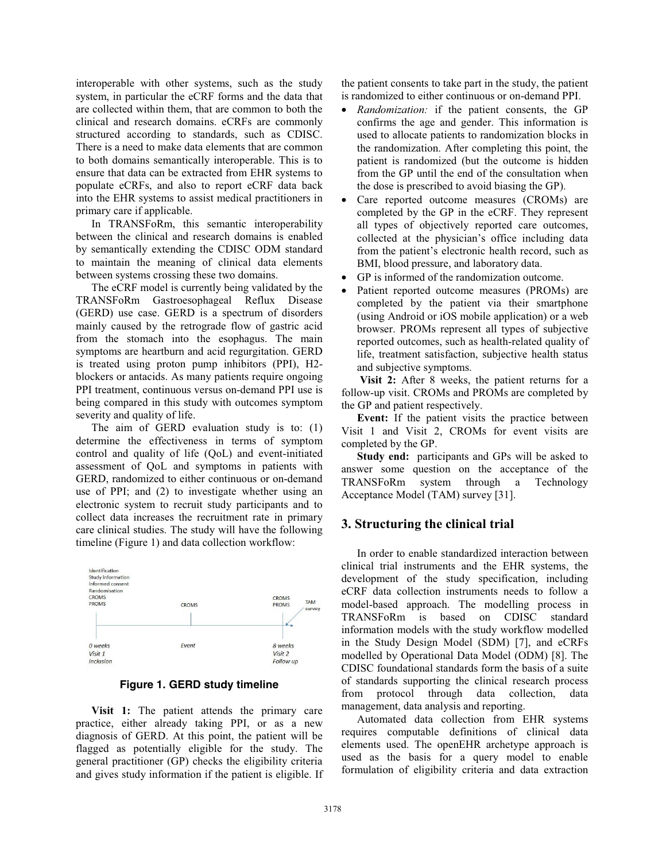interoperable with other systems, such as the study system, in particular the eCRF forms and the data that are collected within them, that are common to both the clinical and research domains. eCRFs are commonly structured according to standards, such as CDISC. There is a need to make data elements that are common to both domains semantically interoperable. This is to ensure that data can be extracted from EHR systems to populate eCRFs, and also to report eCRF data back into the EHR systems to assist medical practitioners in primary care if applicable.

In TRANSFoRm, this semantic interoperability between the clinical and research domains is enabled by semantically extending the CDISC ODM standard to maintain the meaning of clinical data elements between systems crossing these two domains.

The eCRF model is currently being validated by the TRANSFoRm Gastroesophageal Reflux Disease (GERD) use case. GERD is a spectrum of disorders mainly caused by the retrograde flow of gastric acid from the stomach into the esophagus. The main symptoms are heartburn and acid regurgitation. GERD is treated using proton pump inhibitors (PPI), H2 blockers or antacids. As many patients require ongoing PPI treatment, continuous versus on-demand PPI use is being compared in this study with outcomes symptom severity and quality of life.

The aim of GERD evaluation study is to: (1) determine the effectiveness in terms of symptom control and quality of life (QoL) and event-initiated assessment of QoL and symptoms in patients with GERD, randomized to either continuous or on-demand use of PPI; and (2) to investigate whether using an electronic system to recruit study participants and to collect data increases the recruitment rate in primary care clinical studies. The study will have the following timeline (Figure 1) and data collection workflow:



**Figure 1. GERD study timeline** 

**Visit 1:** The patient attends the primary care practice, either already taking PPI, or as a new diagnosis of GERD. At this point, the patient will be flagged as potentially eligible for the study. The general practitioner (GP) checks the eligibility criteria and gives study information if the patient is eligible. If the patient consents to take part in the study, the patient is randomized to either continuous or on-demand PPI.

- *Randomization:* if the patient consents, the GP confirms the age and gender. This information is used to allocate patients to randomization blocks in the randomization. After completing this point, the patient is randomized (but the outcome is hidden from the GP until the end of the consultation when the dose is prescribed to avoid biasing the GP).
- Care reported outcome measures (CROMs) are completed by the GP in the eCRF. They represent all types of objectively reported care outcomes, collected at the physician's office including data from the patient's electronic health record, such as BMI, blood pressure, and laboratory data.
- GP is informed of the randomization outcome.
- Patient reported outcome measures (PROMs) are completed by the patient via their smartphone (using Android or iOS mobile application) or a web browser. PROMs represent all types of subjective reported outcomes, such as health-related quality of life, treatment satisfaction, subjective health status and subjective symptoms.

**Visit 2:** After 8 weeks, the patient returns for a follow-up visit. CROMs and PROMs are completed by the GP and patient respectively.

**Event:** If the patient visits the practice between Visit 1 and Visit 2, CROMs for event visits are completed by the GP.

**Study end:** participants and GPs will be asked to answer some question on the acceptance of the TRANSFoRm system through a Technology Acceptance Model (TAM) survey [31].

# **3. Structuring the clinical trial**

In order to enable standardized interaction between clinical trial instruments and the EHR systems, the development of the study specification, including eCRF data collection instruments needs to follow a model-based approach. The modelling process in TRANSFoRm is based on CDISC standard information models with the study workflow modelled in the Study Design Model (SDM) [7], and eCRFs modelled by Operational Data Model (ODM) [8]. The CDISC foundational standards form the basis of a suite of standards supporting the clinical research process from protocol through data collection, data management, data analysis and reporting.

Automated data collection from EHR systems requires computable definitions of clinical data elements used. The openEHR archetype approach is used as the basis for a query model to enable formulation of eligibility criteria and data extraction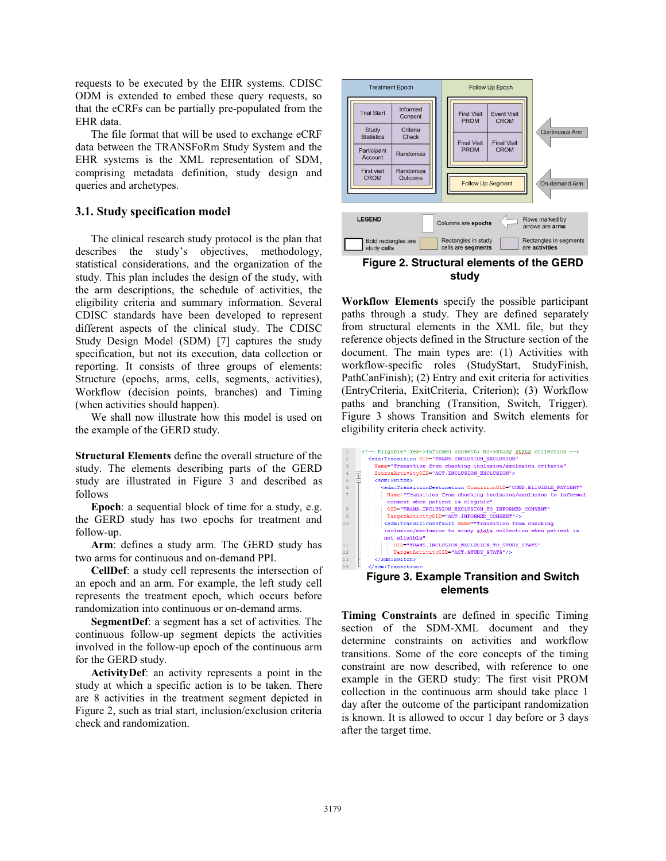requests to be executed by the EHR systems. CDISC ODM is extended to embed these query requests, so that the eCRFs can be partially pre-populated from the EHR data.

The file format that will be used to exchange eCRF data between the TRANSFoRm Study System and the EHR systems is the XML representation of SDM, comprising metadata definition, study design and queries and archetypes.

# **3.1. Study specification model**

The clinical research study protocol is the plan that describes the study's objectives, methodology, statistical considerations, and the organization of the study. This plan includes the design of the study, with the arm descriptions, the schedule of activities, the eligibility criteria and summary information. Several CDISC standards have been developed to represent different aspects of the clinical study. The CDISC Study Design Model (SDM) [7] captures the study specification, but not its execution, data collection or reporting. It consists of three groups of elements: Structure (epochs, arms, cells, segments, activities), Workflow (decision points, branches) and Timing (when activities should happen).

We shall now illustrate how this model is used on the example of the GERD study.

**Structural Elements** define the overall structure of the study. The elements describing parts of the GERD study are illustrated in Figure 3 and described as follows

**Epoch**: a sequential block of time for a study, e.g. the GERD study has two epochs for treatment and follow-up.

**Arm**: defines a study arm. The GERD study has two arms for continuous and on-demand PPI.

**CellDef**: a study cell represents the intersection of an epoch and an arm. For example, the left study cell represents the treatment epoch, which occurs before randomization into continuous or on-demand arms.

**SegmentDef**: a segment has a set of activities. The continuous follow-up segment depicts the activities involved in the follow-up epoch of the continuous arm for the GERD study.

**ActivityDef**: an activity represents a point in the study at which a specific action is to be taken. There are 8 activities in the treatment segment depicted in Figure 2, such as trial start, inclusion/exclusion criteria check and randomization.



**Figure 2. Structural elements of the GERD study** 

**Workflow Elements** specify the possible participant paths through a study. They are defined separately from structural elements in the XML file, but they reference objects defined in the Structure section of the document. The main types are: (1) Activities with workflow-specific roles (StudyStart, StudyFinish, PathCanFinish); (2) Entry and exit criteria for activities (EntryCriteria, ExitCriteria, Criterion); (3) Workflow paths and branching (Transition, Switch, Trigger). Figure 3 shows Transition and Switch elements for eligibility criteria check activity.



**Timing Constraints** are defined in specific Timing section of the SDM-XML document and they determine constraints on activities and workflow transitions. Some of the core concepts of the timing constraint are now described, with reference to one example in the GERD study: The first visit PROM collection in the continuous arm should take place 1 day after the outcome of the participant randomization is known. It is allowed to occur 1 day before or 3 days after the target time.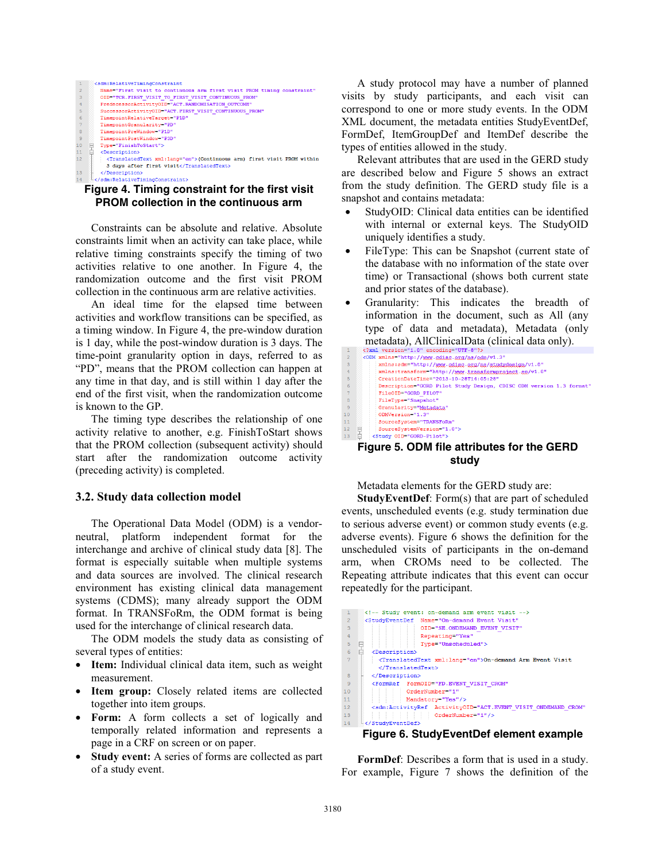|                |   | <sdm:relativetimingconstraint< th=""></sdm:relativetimingconstraint<>                   |
|----------------|---|-----------------------------------------------------------------------------------------|
| $\overline{z}$ |   | Name="First visit to continuous arm first visit PROM timing constraint"                 |
| 3              |   | OID="TCR.FIRST VISIT TO FIRST VISIT CONTINUOUS PROM"                                    |
| $\overline{4}$ |   | PredecessorActivitvOID="ACT.RANDOMISATION OUTCOME"                                      |
| 5              |   | SuccessorActivityOID="ACT.FIRST VISIT CONTINUOUS PROM"                                  |
| 6              |   | TimepointRelativeTarget="P1D"                                                           |
| 7              |   | TimepointGranularitv="PD"                                                               |
| 8              |   | TimepointPreWindow="P1D"                                                                |
| $\ddot{q}$     |   | TimepointPostWindow="P3D"                                                               |
| 10             | e | Type="FinishToStart">                                                                   |
| $11$           | 甴 | <description></description>                                                             |
| 12             |   | <translatedtext xml:lang="en">(Continuous arm) first visit PROM within</translatedtext> |
|                |   | 3 days after first visit                                                                |
| 13             |   |                                                                                         |
| 14             |   |                                                                                         |

#### **Figure 4. Timing constraint for the first visit PROM collection in the continuous arm**

Constraints can be absolute and relative. Absolute constraints limit when an activity can take place, while relative timing constraints specify the timing of two activities relative to one another. In Figure 4, the randomization outcome and the first visit PROM collection in the continuous arm are relative activities.

An ideal time for the elapsed time between activities and workflow transitions can be specified, as a timing window. In Figure 4, the pre-window duration is 1 day, while the post-window duration is 3 days. The time-point granularity option in days, referred to as "PD", means that the PROM collection can happen at any time in that day, and is still within 1 day after the end of the first visit, when the randomization outcome is known to the GP.

The timing type describes the relationship of one activity relative to another, e.g. FinishToStart shows that the PROM collection (subsequent activity) should start after the randomization outcome activity (preceding activity) is completed.

# **3.2. Study data collection model**

The Operational Data Model (ODM) is a vendorneutral, platform independent format for the interchange and archive of clinical study data [8]. The format is especially suitable when multiple systems and data sources are involved. The clinical research environment has existing clinical data management systems (CDMS); many already support the ODM format. In TRANSFoRm, the ODM format is being used for the interchange of clinical research data.

The ODM models the study data as consisting of several types of entities:

- **Item:** Individual clinical data item, such as weight measurement.
- **Item group:** Closely related items are collected together into item groups.
- **Form:** A form collects a set of logically and temporally related information and represents a page in a CRF on screen or on paper.
- **Study event:** A series of forms are collected as part of a study event.

A study protocol may have a number of planned visits by study participants, and each visit can correspond to one or more study events. In the ODM XML document, the metadata entities StudyEventDef, FormDef, ItemGroupDef and ItemDef describe the types of entities allowed in the study.

Relevant attributes that are used in the GERD study are described below and Figure 5 shows an extract from the study definition. The GERD study file is a snapshot and contains metadata:

- StudyOID: Clinical data entities can be identified with internal or external keys. The StudyOID uniquely identifies a study.
- FileType: This can be Snapshot (current state of the database with no information of the state over time) or Transactional (shows both current state and prior states of the database).
- Granularity: This indicates the breadth of information in the document, such as All (any type of data and metadata), Metadata (only



# **Figure 5. ODM file attributes for the GERD study**

Metadata elements for the GERD study are:

**StudyEventDef**: Form(s) that are part of scheduled events, unscheduled events (e.g. study termination due to serious adverse event) or common study events (e.g. adverse events). Figure 6 shows the definition for the unscheduled visits of participants in the on-demand arm, when CROMs need to be collected. The Repeating attribute indicates that this event can occur repeatedly for the participant.



#### **Figure 6. StudyEventDef element example**

**FormDef**: Describes a form that is used in a study. For example, Figure 7 shows the definition of the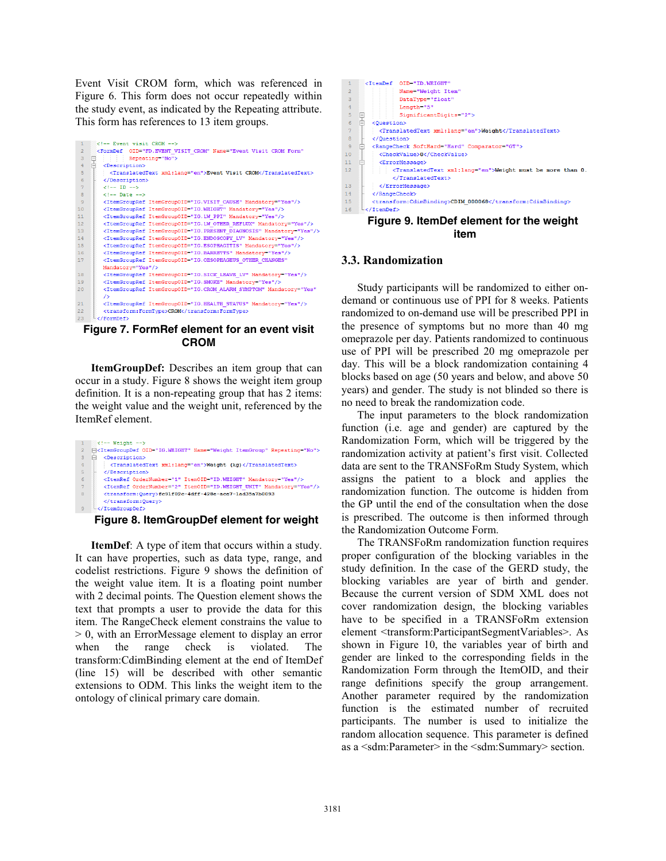Event Visit CROM form, which was referenced in Figure 6. This form does not occur repeatedly within the study event, as indicated by the Repeating attribute. This form has references to 13 item groups.

| $\mathbf{1}$   | $\langle -1 - $ Event visit CROM $\langle -1 \rangle$                                         |
|----------------|-----------------------------------------------------------------------------------------------|
| $\overline{2}$ | <formdef <="" name="Event Visit CROM Form" oid="FD.EVENT VISIT CROM" td=""></formdef>         |
| 3              | Repeating="No">                                                                               |
| $\overline{4}$ | <description></description>                                                                   |
| 5              | <translatedtext xml:lang="en">Event Visit CROM</translatedtext>                               |
| 6              |                                                                                               |
| 7              | $\lt$ ! $-$ TD $ \gt$                                                                         |
| 8              | $\langle$ !-- Date -->                                                                        |
| 9              | <ltemgroupref itemgroupoid="IG.VISIT CAUSE" mandatory="Yes"></ltemgroupref>                   |
| 10             | <itemgroupref itemgroupoid="IG.WEIGHT" mandatorv="Yes"></itemgroupref>                        |
| 11             | <itemgroupref itemgroupoid="IG.LW PPI" mandatory="Yes"></itemgroupref>                        |
| 12             | <itemgroupref itemgroupoid="IG.LW OTHER REFLUX" mandatory="Yes"></itemgroupref>               |
| 13             | <ltemgroupref itemgroupoid="IG.PRESENT DIAGNOSIS" mandatory="Yes"></ltemgroupref>             |
| 14             | <itemgroupref itemgroupoid="IG.ENDOSCOPY LV" mandatorv="Yes"></itemgroupref>                  |
| 15             | <itemgroupref itemgroupoid="IG.ESOPHAGITIS" mandatorv="Yes"></itemgroupref>                   |
| 16             | <itemgroupref itemgroupoid="IG.BARRETTS" mandatorv="Yes"></itemgroupref>                      |
| 17             | <itemgroupref <="" itemgroupoid="IG.OESOPHAGEUS OTHER CHANGES" td=""></itemgroupref>          |
|                | Mandatory="Yes"/>                                                                             |
| 18             | <itemgroupref itemgroupoid="IG.SICK LEAVE LV" mandatory="Yes"></itemgroupref>                 |
| 19             | <itemgroupref itemgroupoid="IG.SMOKE" mandatorv="Yes"></itemgroupref>                         |
| 20             | <ltemgroupref <="" itemgroupoid="IG.CROM ALARM SYMPTOM" mandatory="Yes" td=""></ltemgroupref> |
|                | $\rightarrow$                                                                                 |
| 21             | <ltemgroupref itemgroupoid="IG.HEALTH STATUS" mandatory="Yes"></ltemgroupref>                 |
| 22             | <transform:formtype>CROM</transform:formtype>                                                 |
| 23             | └                                                                                             |

**Figure 7. FormRef element for an event visit CROM** 

**ItemGroupDef:** Describes an item group that can occur in a study. Figure 8 shows the weight item group definition. It is a non-repeating group that has 2 items: the weight value and the weight unit, referenced by the ItemRef element.

|                | $\langle$ !-- Weight -->                                                                |
|----------------|-----------------------------------------------------------------------------------------|
| $\overline{2}$ | Fi <itemgroupdef name="Weight ItemGroup" oid="IG.WEIGHT" repeating="No"></itemgroupdef> |
| $\mathbf{3}$   | <description><br/><math>\overline{ }</math></description>                               |
| $\overline{4}$ | <translatedtext xml:lang="en">Weight (kg)</translatedtext>                              |
| $\overline{5}$ |                                                                                         |
| 6              | <itemref itemoid="ID.WEIGHT" mandatory="Yes" ordernumber="1"></itemref>                 |
| 7              | <itemref itemoid="ID.WEIGHT UNIT" mandatory="Yes" ordernumber="2"></itemref>            |
| 8              | <transform: ouerv="">fc91f02c-4dff-428e-ace7-1ad35a7b0093</transform:>                  |
|                |                                                                                         |
| $\mathbf{q}$   |                                                                                         |

#### **Figure 8. ItemGroupDef element for weight**

**ItemDef**: A type of item that occurs within a study. It can have properties, such as data type, range, and codelist restrictions. Figure 9 shows the definition of the weight value item. It is a floating point number with 2 decimal points. The Question element shows the text that prompts a user to provide the data for this item. The RangeCheck element constrains the value to > 0, with an ErrorMessage element to display an error when the range check is violated. The transform:CdimBinding element at the end of ItemDef (line 15) will be described with other semantic extensions to ODM. This links the weight item to the ontology of clinical primary care domain.

|                | <ttemdef <="" oid="ID.WEIGHT" th=""></ttemdef>                             |  |
|----------------|----------------------------------------------------------------------------|--|
| $\overline{2}$ | Name="Weight Item"                                                         |  |
| 3              | DataTvpe="float"                                                           |  |
| $\overline{4}$ | Length="5"                                                                 |  |
| $\overline{5}$ | SignificantDigits="2">                                                     |  |
| 6              | <ouestion></ouestion>                                                      |  |
| $\overline{7}$ | <translatedtext xml:lang="en">Weight</translatedtext>                      |  |
| $\mathbf{8}$   |                                                                            |  |
| $\overline{q}$ | <rangecheck comparator="GT" softhard="Hard"></rangecheck>                  |  |
| 10             | <checkvalue>0</checkvalue>                                                 |  |
| 11             | <errormessage></errormessage>                                              |  |
| 12             | <translatedtext xml:lang="en">Weight must be more than 0.</translatedtext> |  |
|                |                                                                            |  |
| 13             |                                                                            |  |
| 14             |                                                                            |  |
| 15             | <transform:cdimbinding>CDIM 000068</transform:cdimbinding>                 |  |
| 16             | -                                                                          |  |
|                | Figure 9. ItemDef element for the weight                                   |  |
|                |                                                                            |  |
|                | item                                                                       |  |
|                |                                                                            |  |

### **3.3. Randomization**

Study participants will be randomized to either ondemand or continuous use of PPI for 8 weeks. Patients randomized to on-demand use will be prescribed PPI in the presence of symptoms but no more than 40 mg omeprazole per day. Patients randomized to continuous use of PPI will be prescribed 20 mg omeprazole per day. This will be a block randomization containing 4 blocks based on age (50 years and below, and above 50 years) and gender. The study is not blinded so there is no need to break the randomization code.

The input parameters to the block randomization function (i.e. age and gender) are captured by the Randomization Form, which will be triggered by the randomization activity at patient's first visit. Collected data are sent to the TRANSFoRm Study System, which assigns the patient to a block and applies the randomization function. The outcome is hidden from the GP until the end of the consultation when the dose is prescribed. The outcome is then informed through the Randomization Outcome Form.

The TRANSFoRm randomization function requires proper configuration of the blocking variables in the study definition. In the case of the GERD study, the blocking variables are year of birth and gender. Because the current version of SDM XML does not cover randomization design, the blocking variables have to be specified in a TRANSFoRm extension element <transform:ParticipantSegmentVariables>. As shown in Figure 10, the variables year of birth and gender are linked to the corresponding fields in the Randomization Form through the ItemOID, and their range definitions specify the group arrangement. Another parameter required by the randomization function is the estimated number of recruited participants. The number is used to initialize the random allocation sequence. This parameter is defined as a <sdm:Parameter> in the <sdm:Summary> section.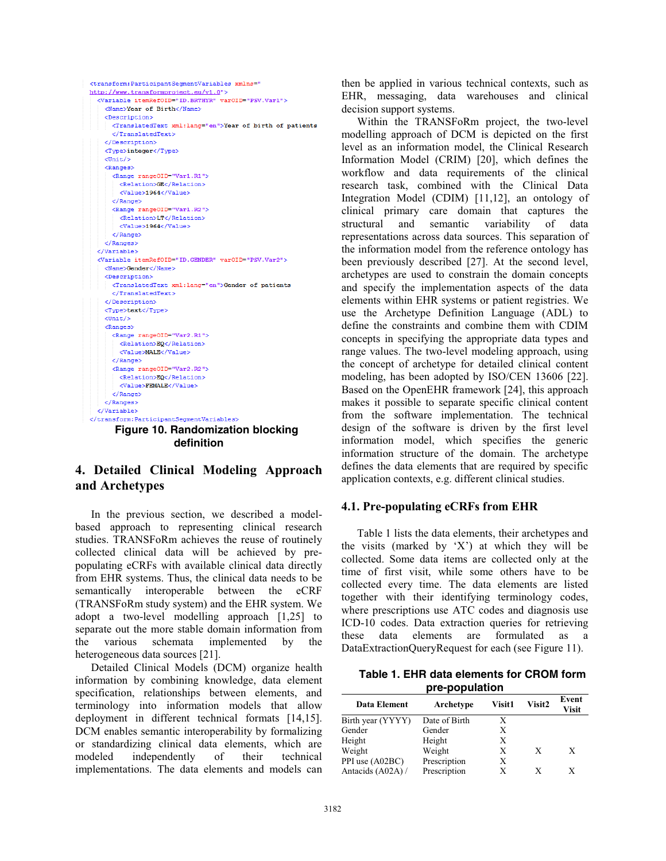

# **4. Detailed Clinical Modeling Approach and Archetypes**

In the previous section, we described a modelbased approach to representing clinical research studies. TRANSFoRm achieves the reuse of routinely collected clinical data will be achieved by prepopulating eCRFs with available clinical data directly from EHR systems. Thus, the clinical data needs to be semantically interoperable between the eCRF (TRANSFoRm study system) and the EHR system. We adopt a two-level modelling approach [1,25] to separate out the more stable domain information from the various schemata implemented by the heterogeneous data sources [21].

Detailed Clinical Models (DCM) organize health information by combining knowledge, data element specification, relationships between elements, and terminology into information models that allow deployment in different technical formats [14,15]. DCM enables semantic interoperability by formalizing or standardizing clinical data elements, which are modeled independently of their technical implementations. The data elements and models can then be applied in various technical contexts, such as EHR, messaging, data warehouses and clinical decision support systems.

Within the TRANSFoRm project, the two-level modelling approach of DCM is depicted on the first level as an information model, the Clinical Research Information Model (CRIM) [20], which defines the workflow and data requirements of the clinical research task, combined with the Clinical Data Integration Model (CDIM) [11,12], an ontology of clinical primary care domain that captures the structural and semantic variability of data representations across data sources. This separation of the information model from the reference ontology has been previously described [27]. At the second level, archetypes are used to constrain the domain concepts and specify the implementation aspects of the data elements within EHR systems or patient registries. We use the Archetype Definition Language (ADL) to define the constraints and combine them with CDIM concepts in specifying the appropriate data types and range values. The two-level modeling approach, using the concept of archetype for detailed clinical content modeling, has been adopted by ISO/CEN 13606 [22]. Based on the OpenEHR framework [24], this approach makes it possible to separate specific clinical content from the software implementation. The technical design of the software is driven by the first level information model, which specifies the generic information structure of the domain. The archetype defines the data elements that are required by specific application contexts, e.g. different clinical studies.

# **4.1. Pre-populating eCRFs from EHR**

Table 1 lists the data elements, their archetypes and the visits (marked by 'X') at which they will be collected. Some data items are collected only at the time of first visit, while some others have to be collected every time. The data elements are listed together with their identifying terminology codes, where prescriptions use ATC codes and diagnosis use ICD-10 codes. Data extraction queries for retrieving these data elements are formulated as a DataExtractionQueryRequest for each (see Figure 11).

**Table 1. EHR data elements for CROM form pre-population** 

| Data Element      | Archetype     | <b>Visit1</b> | Visit2 | Event<br><b>Visit</b> |  |
|-------------------|---------------|---------------|--------|-----------------------|--|
| Birth year (YYYY) | Date of Birth | Х             |        |                       |  |
| Gender            | Gender        | X             |        |                       |  |
| Height            | Height        | X             |        |                       |  |
| Weight            | Weight        | Х             | X      | X                     |  |
| PPI use (A02BC)   | Prescription  | X             |        |                       |  |
| Antacids (A02A) / | Prescription  | X             |        | X                     |  |
|                   |               |               |        |                       |  |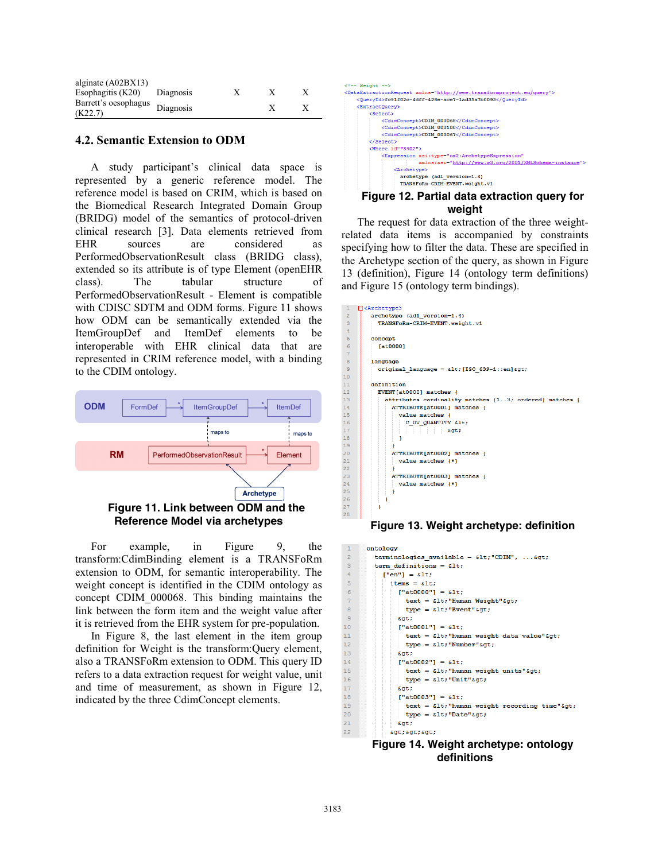| alginate (A02BX13)   |           |  |  |
|----------------------|-----------|--|--|
| Esophagitis (K20)    | Diagnosis |  |  |
| Barrett's oesophagus | Diagnosis |  |  |
| (K22.7)              |           |  |  |

# **4.2. Semantic Extension to ODM**

A study participant's clinical data space is represented by a generic reference model. The reference model is based on CRIM, which is based on the Biomedical Research Integrated Domain Group (BRIDG) model of the semantics of protocol-driven clinical research [3]. Data elements retrieved from EHR sources are considered as PerformedObservationResult class (BRIDG class), extended so its attribute is of type Element (openEHR class). The tabular structure of PerformedObservationResult - Element is compatible with CDISC SDTM and ODM forms. Figure 11 shows how ODM can be semantically extended via the ItemGroupDef and ItemDef elements to be interoperable with EHR clinical data that are represented in CRIM reference model, with a binding to the CDIM ontology.



For example, in Figure 9, the transform:CdimBinding element is a TRANSFoRm extension to ODM, for semantic interoperability. The weight concept is identified in the CDIM ontology as concept CDIM\_000068. This binding maintains the link between the form item and the weight value after it is retrieved from the EHR system for pre-population.

In Figure 8, the last element in the item group definition for Weight is the transform:Query element, also a TRANSFoRm extension to ODM. This query ID refers to a data extraction request for weight value, unit and time of measurement, as shown in Figure 12, indicated by the three CdimConcept elements.



### **Figure 12. Partial data extraction query for weight**

The request for data extraction of the three weightrelated data items is accompanied by constraints specifying how to filter the data. These are specified in the Archetype section of the query, as shown in Figure 13 (definition), Figure 14 (ontology term definitions) and Figure 15 (ontology term bindings).

| $\mathbf{1}$   | 日 <archetype></archetype>                              |
|----------------|--------------------------------------------------------|
| $\overline{2}$ | archetype (adl version=1.4)                            |
| 3              | TRANSFoRm-CRIM-EVENT.weight.v1                         |
| $\overline{4}$ |                                                        |
| 5              | concept                                                |
| 6              | [at0000]                                               |
| $\overline{7}$ |                                                        |
| 8              | language                                               |
| $\overline{9}$ | original language = $4lt$ ; [ISO 639-1::en] $4gt$ ;    |
| 10             |                                                        |
| 11             | definition                                             |
| 12             | EVENT[at0000] matches {                                |
| 13             | attributes cardinality matches {13; ordered} matches { |
| 14             | ATTRIBUTE[at0001] matches {                            |
| 15             | value matches {                                        |
| 16             | C DV QUANTITY & lt;                                    |
| 17             | >                                                      |
| 18             | ١                                                      |
| 19             |                                                        |
| 20             | ATTRIBUTE[at0002] matches {                            |
| 21             | value matches $\{\star\}$                              |
| 22             |                                                        |
| 23             | ATTRIBUTE[at0003] matches {                            |
| 24             | value matches $\{\star\}$                              |
| 25             |                                                        |
| 26             |                                                        |
| 27             |                                                        |
| 28             |                                                        |

**Figure 13. Weight archetype: definition** 

| ontology                                                             |
|----------------------------------------------------------------------|
| terminologies available = $\epsilon$ 1t; "CDIM", $\epsilon$ qt;      |
| term definitions = $6lt;$                                            |
| $['en"] = 21t;$                                                      |
| $items = 6lt:$                                                       |
| $["at0000"] = 1t;$                                                   |
| $text = \epsilon 1t; "Human Weight" \epsilon qt;$                    |
| $type = 6lt; "Event"6qt;$                                            |
| &at                                                                  |
| $["at0001"] = 61t;$                                                  |
| $text = 6lt; "human weight data value"6gt;$                          |
| $type = 6lt$ : "Number" $6gt$ :                                      |
| >                                                                    |
| $["at0002"] = $1t;$                                                  |
| $text =$ $\epsilon$ 1t; "human weight units" $\epsilon$ qt;          |
| $type = 4lt; "Unit" 4dt;$                                            |
| >                                                                    |
| $["at0003"] = $1t;$                                                  |
| $text =$ $\epsilon$ 1t; "human weight recording time" $\epsilon$ qt; |
| $type = 4lt$ : "Date" $4qt$ ;                                        |
| >                                                                    |
| Edt; Edt; Edt;                                                       |
|                                                                      |

**Figure 14. Weight archetype: ontology definitions** 

 $\frac{1}{3}$  $\frac{4}{5}$ 

 $\begin{array}{c} 6 \\ 7 \\ 8 \end{array}$  $\overline{9}$  $10$  $\overline{11}$  $12$  $13$  $14$ 15  $16$  $\mathbf{17}$  $18$  $19$  $20$  $\bar{2}\bar{1}$  $2\,2$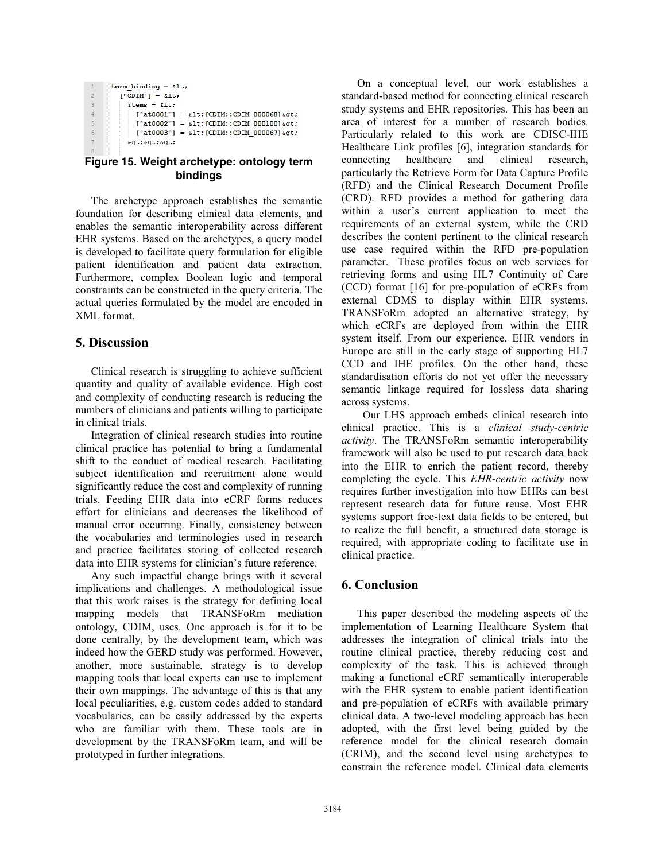```
\mathbf{1}term binding = \epsilon1t;
\overline{2}["CDIM"] = \epsilon \mathbf{lt};\overline{3}items = 6lt:['at0001"] = \< \text{Ict}; [CDIM::CDIM_000068] \< \text{gt};\overline{4}\overline{5}['at0002"] = \< !t; [CDIM::CDIM_000100] \< t;['at0003"] = \text{alt}; [CDIM::CDIM 000067] \text{igt};\overline{6}\overline{7}&at:&at:&at:
```
# **Figure 15. Weight archetype: ontology term bindings**

The archetype approach establishes the semantic foundation for describing clinical data elements, and enables the semantic interoperability across different EHR systems. Based on the archetypes, a query model is developed to facilitate query formulation for eligible patient identification and patient data extraction. Furthermore, complex Boolean logic and temporal constraints can be constructed in the query criteria. The actual queries formulated by the model are encoded in XML format.

# **5. Discussion**

Clinical research is struggling to achieve sufficient quantity and quality of available evidence. High cost and complexity of conducting research is reducing the numbers of clinicians and patients willing to participate in clinical trials.

Integration of clinical research studies into routine clinical practice has potential to bring a fundamental shift to the conduct of medical research. Facilitating subject identification and recruitment alone would significantly reduce the cost and complexity of running trials. Feeding EHR data into eCRF forms reduces effort for clinicians and decreases the likelihood of manual error occurring. Finally, consistency between the vocabularies and terminologies used in research and practice facilitates storing of collected research data into EHR systems for clinician's future reference.

Any such impactful change brings with it several implications and challenges. A methodological issue that this work raises is the strategy for defining local mapping models that TRANSFoRm mediation ontology, CDIM, uses. One approach is for it to be done centrally, by the development team, which was indeed how the GERD study was performed. However, another, more sustainable, strategy is to develop mapping tools that local experts can use to implement their own mappings. The advantage of this is that any local peculiarities, e.g. custom codes added to standard vocabularies, can be easily addressed by the experts who are familiar with them. These tools are in development by the TRANSFoRm team, and will be prototyped in further integrations.

On a conceptual level, our work establishes a standard-based method for connecting clinical research study systems and EHR repositories. This has been an area of interest for a number of research bodies. Particularly related to this work are CDISC-IHE Healthcare Link profiles [6], integration standards for connecting healthcare and clinical research, particularly the Retrieve Form for Data Capture Profile (RFD) and the Clinical Research Document Profile (CRD). RFD provides a method for gathering data within a user's current application to meet the requirements of an external system, while the CRD describes the content pertinent to the clinical research use case required within the RFD pre-population parameter. These profiles focus on web services for retrieving forms and using HL7 Continuity of Care (CCD) format [16] for pre-population of eCRFs from external CDMS to display within EHR systems. TRANSFoRm adopted an alternative strategy, by which eCRFs are deployed from within the EHR system itself. From our experience, EHR vendors in Europe are still in the early stage of supporting HL7 CCD and IHE profiles. On the other hand, these standardisation efforts do not yet offer the necessary semantic linkage required for lossless data sharing across systems.

 Our LHS approach embeds clinical research into clinical practice. This is a *clinical study-centric activity*. The TRANSFoRm semantic interoperability framework will also be used to put research data back into the EHR to enrich the patient record, thereby completing the cycle. This *EHR-centric activity* now requires further investigation into how EHRs can best represent research data for future reuse. Most EHR systems support free-text data fields to be entered, but to realize the full benefit, a structured data storage is required, with appropriate coding to facilitate use in clinical practice.

# **6. Conclusion**

This paper described the modeling aspects of the implementation of Learning Healthcare System that addresses the integration of clinical trials into the routine clinical practice, thereby reducing cost and complexity of the task. This is achieved through making a functional eCRF semantically interoperable with the EHR system to enable patient identification and pre-population of eCRFs with available primary clinical data. A two-level modeling approach has been adopted, with the first level being guided by the reference model for the clinical research domain (CRIM), and the second level using archetypes to constrain the reference model. Clinical data elements